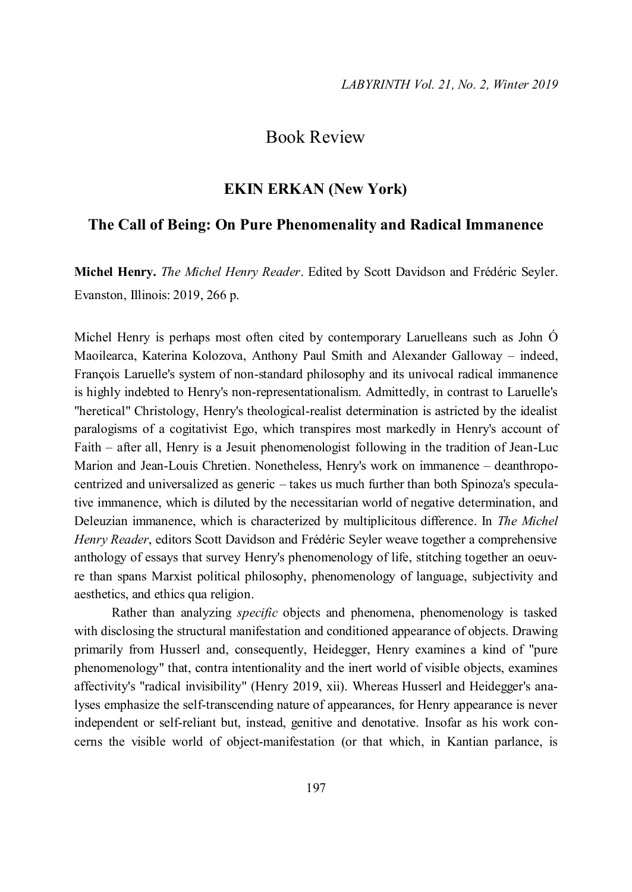## Book Review

## **EKIN ERKAN (New York)**

## **The Call of Being: On Pure Phenomenality and Radical Immanence**

**Michel Henry.** *The Michel Henry Reader*. Edited by Scott Davidson and Frédéric Seyler. Evanston, Illinois: 2019, 266 p.

Michel Henry is perhaps most often cited by contemporary Laruelleans such as John Ó Maoilearca, Katerina Kolozova, Anthony Paul Smith and Alexander Galloway – indeed, François Laruelle's system of non-standard philosophy and its univocal radical immanence is highly indebted to Henry's non-representationalism. Admittedly, in contrast to Laruelle's "heretical" Christology, Henry's theological-realist determination is astricted by the idealist paralogisms of a cogitativist Ego, which transpires most markedly in Henry's account of Faith – after all, Henry is a Jesuit phenomenologist following in the tradition of Jean-Luc Marion and Jean-Louis Chretien. Nonetheless, Henry's work on immanence – deanthropocentrized and universalized as generic – takes us much further than both Spinoza's speculative immanence, which is diluted by the necessitarian world of negative determination, and Deleuzian immanence, which is characterized by multiplicitous difference. In *The Michel Henry Reader*, editors Scott Davidson and Frédéric Seyler weave together a comprehensive anthology of essays that survey Henry's phenomenology of life, stitching together an oeuvre than spans Marxist political philosophy, phenomenology of language, subjectivity and aesthetics, and ethics qua religion.

Rather than analyzing *specific* objects and phenomena, phenomenology is tasked with disclosing the structural manifestation and conditioned appearance of objects. Drawing primarily from Husserl and, consequently, Heidegger, Henry examines a kind of "pure phenomenology" that, contra intentionality and the inert world of visible objects, examines affectivity's "radical invisibility" (Henry 2019, xii). Whereas Husserl and Heidegger's analyses emphasize the self-transcending nature of appearances, for Henry appearance is never independent or self-reliant but, instead, genitive and denotative. Insofar as his work concerns the visible world of object-manifestation (or that which, in Kantian parlance, is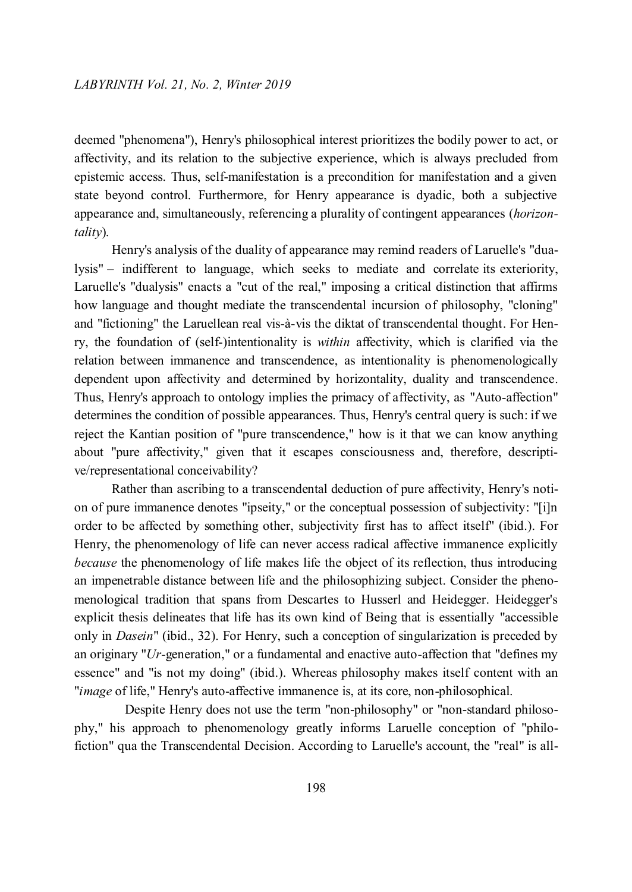deemed "phenomena"), Henry's philosophical interest prioritizes the bodily power to act, or affectivity, and its relation to the subjective experience, which is always precluded from epistemic access. Thus, self-manifestation is a precondition for manifestation and a given state beyond control. Furthermore, for Henry appearance is dyadic, both a subjective appearance and, simultaneously, referencing a plurality of contingent appearances (*horizontality*).

Henry's analysis of the duality of appearance may remind readers of Laruelle's "dualysis" – indifferent to language, which seeks to mediate and correlate its exteriority, Laruelle's "dualysis" enacts a "cut of the real," imposing a critical distinction that affirms how language and thought mediate the transcendental incursion of philosophy, "cloning" and "fictioning" the Laruellean real vis-à-vis the diktat of transcendental thought. For Henry, the foundation of (self-)intentionality is *within* affectivity, which is clarified via the relation between immanence and transcendence, as intentionality is phenomenologically dependent upon affectivity and determined by horizontality, duality and transcendence. Thus, Henry's approach to ontology implies the primacy of affectivity, as "Auto-affection" determines the condition of possible appearances. Thus, Henry's central query is such: if we reject the Kantian position of "pure transcendence," how is it that we can know anything about "pure affectivity," given that it escapes consciousness and, therefore, descriptive/representational conceivability?

Rather than ascribing to a transcendental deduction of pure affectivity, Henry's notion of pure immanence denotes "ipseity," or the conceptual possession of subjectivity: "[i]n order to be affected by something other, subjectivity first has to affect itself" (ibid.). For Henry, the phenomenology of life can never access radical affective immanence explicitly *because* the phenomenology of life makes life the object of its reflection, thus introducing an impenetrable distance between life and the philosophizing subject. Consider the phenomenological tradition that spans from Descartes to Husserl and Heidegger. Heidegger's explicit thesis delineates that life has its own kind of Being that is essentially "accessible only in *Dasein*" (ibid., 32). For Henry, such a conception of singularization is preceded by an originary "*Ur*-generation," or a fundamental and enactive auto-affection that "defines my essence" and "is not my doing" (ibid.). Whereas philosophy makes itself content with an "*image* of life," Henry's auto-affective immanence is, at its core, non-philosophical.

Despite Henry does not use the term "non-philosophy" or "non-standard philosophy," his approach to phenomenology greatly informs Laruelle conception of "philofiction" qua the Transcendental Decision. According to Laruelle's account, the "real" is all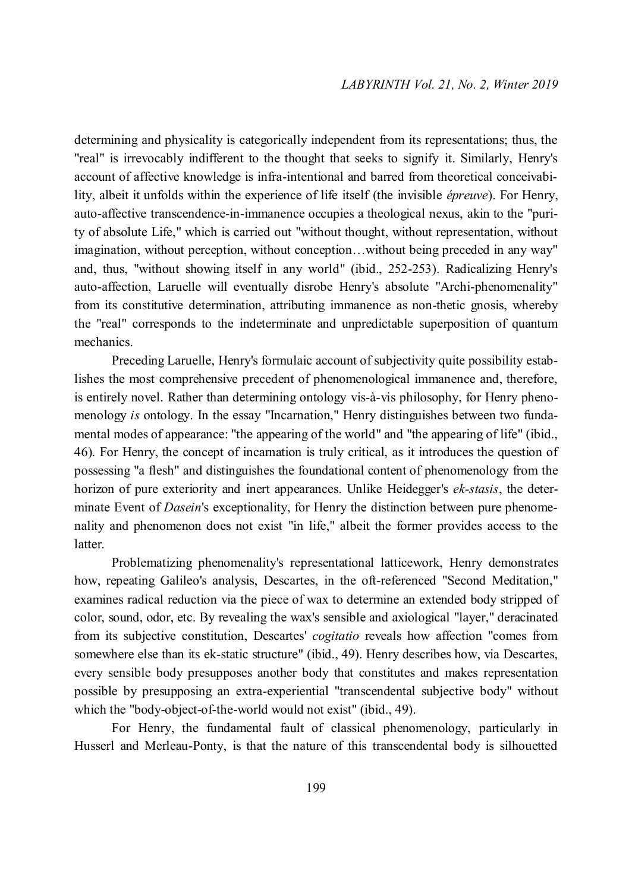determining and physicality is categorically independent from its representations; thus, the "real" is irrevocably indifferent to the thought that seeks to signify it. Similarly, Henry's account of affective knowledge is infra-intentional and barred from theoretical conceivability, albeit it unfolds within the experience of life itself (the invisible *épreuve*). For Henry, auto-affective transcendence-in-immanence occupies a theological nexus, akin to the "purity of absolute Life," which is carried out "without thought, without representation, without imagination, without perception, without conception…without being preceded in any way" and, thus, "without showing itself in any world" (ibid., 252-253). Radicalizing Henry's auto-affection, Laruelle will eventually disrobe Henry's absolute "Archi-phenomenality" from its constitutive determination, attributing immanence as non-thetic gnosis, whereby the "real" corresponds to the indeterminate and unpredictable superposition of quantum mechanics.

Preceding Laruelle, Henry's formulaic account of subjectivity quite possibility establishes the most comprehensive precedent of phenomenological immanence and, therefore, is entirely novel. Rather than determining ontology vis-à-vis philosophy, for Henry phenomenology *is* ontology. In the essay "Incarnation," Henry distinguishes between two fundamental modes of appearance: "the appearing of the world" and "the appearing of life" (ibid., 46). For Henry, the concept of incarnation is truly critical, as it introduces the question of possessing "a flesh" and distinguishes the foundational content of phenomenology from the horizon of pure exteriority and inert appearances. Unlike Heidegger's *ek-stasis*, the determinate Event of *Dasein*'s exceptionality, for Henry the distinction between pure phenomenality and phenomenon does not exist "in life," albeit the former provides access to the latter.

Problematizing phenomenality's representational latticework, Henry demonstrates how, repeating Galileo's analysis, Descartes, in the oft-referenced "Second Meditation," examines radical reduction via the piece of wax to determine an extended body stripped of color, sound, odor, etc. By revealing the wax's sensible and axiological "layer," deracinated from its subjective constitution, Descartes' *cogitatio* reveals how affection "comes from somewhere else than its ek-static structure" (ibid., 49). Henry describes how, via Descartes, every sensible body presupposes another body that constitutes and makes representation possible by presupposing an extra-experiential "transcendental subjective body" without which the "body-object-of-the-world would not exist" (ibid., 49).

For Henry, the fundamental fault of classical phenomenology, particularly in Husserl and Merleau-Ponty, is that the nature of this transcendental body is silhouetted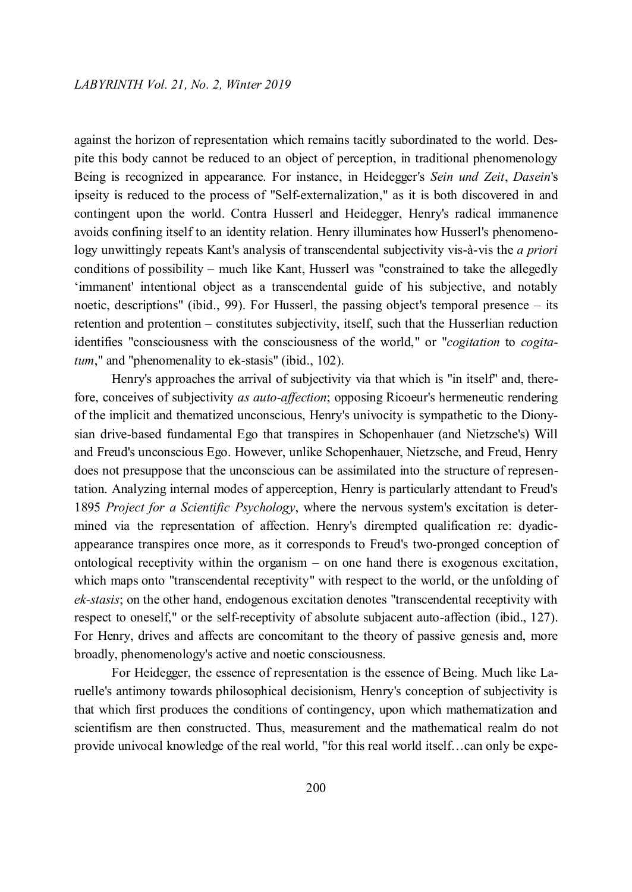against the horizon of representation which remains tacitly subordinated to the world. Despite this body cannot be reduced to an object of perception, in traditional phenomenology Being is recognized in appearance. For instance, in Heidegger's *Sein und Zeit*, *Dasein*'s ipseity is reduced to the process of "Self-externalization," as it is both discovered in and contingent upon the world. Contra Husserl and Heidegger, Henry's radical immanence avoids confining itself to an identity relation. Henry illuminates how Husserl's phenomenology unwittingly repeats Kant's analysis of transcendental subjectivity vis-à-vis the *a priori*  conditions of possibility – much like Kant, Husserl was "constrained to take the allegedly 'immanent' intentional object as a transcendental guide of his subjective, and notably noetic, descriptions" (ibid., 99). For Husserl, the passing object's temporal presence – its retention and protention – constitutes subjectivity, itself, such that the Husserlian reduction identifies "consciousness with the consciousness of the world," or "*cogitation* to *cogitatum*," and "phenomenality to ek-stasis" (ibid., 102).

Henry's approaches the arrival of subjectivity via that which is "in itself" and, therefore, conceives of subjectivity *as auto-affection*; opposing Ricoeur's hermeneutic rendering of the implicit and thematized unconscious, Henry's univocity is sympathetic to the Dionysian drive-based fundamental Ego that transpires in Schopenhauer (and Nietzsche's) Will and Freud's unconscious Ego. However, unlike Schopenhauer, Nietzsche, and Freud, Henry does not presuppose that the unconscious can be assimilated into the structure of representation. Analyzing internal modes of apperception, Henry is particularly attendant to Freud's 1895 *Project for a Scientific Psychology*, where the nervous system's excitation is determined via the representation of affection. Henry's dirempted qualification re: dyadicappearance transpires once more, as it corresponds to Freud's two-pronged conception of ontological receptivity within the organism – on one hand there is exogenous excitation, which maps onto "transcendental receptivity" with respect to the world, or the unfolding of *ek-stasis*; on the other hand, endogenous excitation denotes "transcendental receptivity with respect to oneself," or the self-receptivity of absolute subjacent auto-affection (ibid., 127). For Henry, drives and affects are concomitant to the theory of passive genesis and, more broadly, phenomenology's active and noetic consciousness.

For Heidegger, the essence of representation is the essence of Being. Much like Laruelle's antimony towards philosophical decisionism, Henry's conception of subjectivity is that which first produces the conditions of contingency, upon which mathematization and scientifism are then constructed. Thus, measurement and the mathematical realm do not provide univocal knowledge of the real world, "for this real world itself…can only be expe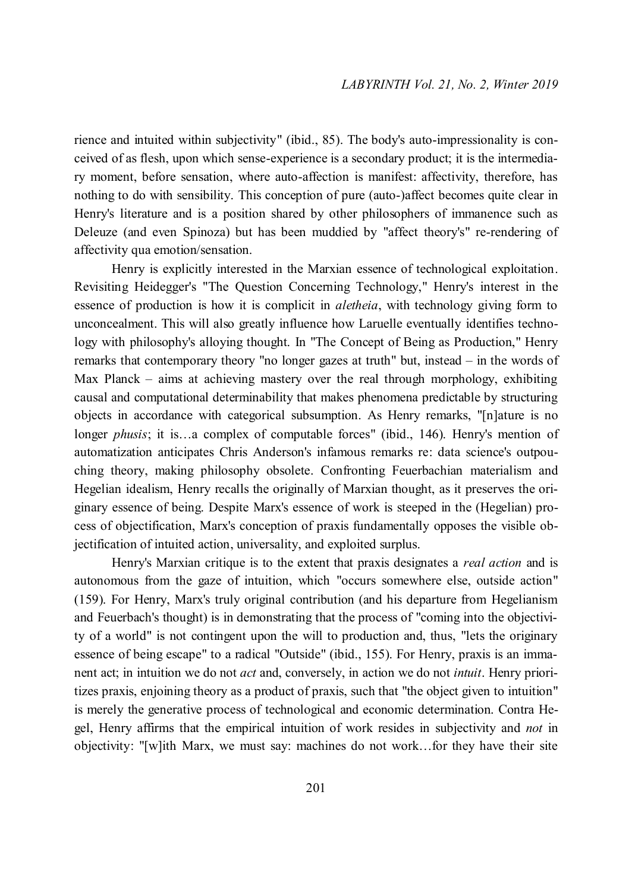rience and intuited within subjectivity" (ibid., 85). The body's auto-impressionality is conceived of as flesh, upon which sense-experience is a secondary product; it is the intermediary moment, before sensation, where auto-affection is manifest: affectivity, therefore, has nothing to do with sensibility. This conception of pure (auto-)affect becomes quite clear in Henry's literature and is a position shared by other philosophers of immanence such as Deleuze (and even Spinoza) but has been muddied by "affect theory's" re-rendering of affectivity qua emotion/sensation.

Henry is explicitly interested in the Marxian essence of technological exploitation. Revisiting Heidegger's "The Question Concerning Technology," Henry's interest in the essence of production is how it is complicit in *aletheia*, with technology giving form to unconcealment. This will also greatly influence how Laruelle eventually identifies technology with philosophy's alloying thought. In "The Concept of Being as Production," Henry remarks that contemporary theory "no longer gazes at truth" but, instead – in the words of Max Planck – aims at achieving mastery over the real through morphology, exhibiting causal and computational determinability that makes phenomena predictable by structuring objects in accordance with categorical subsumption. As Henry remarks, "[n]ature is no longer *phusis*; it is…a complex of computable forces" (ibid., 146). Henry's mention of automatization anticipates Chris Anderson's infamous remarks re: data science's outpouching theory, making philosophy obsolete. Confronting Feuerbachian materialism and Hegelian idealism, Henry recalls the originally of Marxian thought, as it preserves the originary essence of being. Despite Marx's essence of work is steeped in the (Hegelian) process of objectification, Marx's conception of praxis fundamentally opposes the visible objectification of intuited action, universality, and exploited surplus.

Henry's Marxian critique is to the extent that praxis designates a *real action* and is autonomous from the gaze of intuition, which "occurs somewhere else, outside action" (159). For Henry, Marx's truly original contribution (and his departure from Hegelianism and Feuerbach's thought) is in demonstrating that the process of "coming into the objectivity of a world" is not contingent upon the will to production and, thus, "lets the originary essence of being escape" to a radical "Outside" (ibid., 155). For Henry, praxis is an immanent act; in intuition we do not *act* and, conversely, in action we do not *intuit*. Henry prioritizes praxis, enjoining theory as a product of praxis, such that "the object given to intuition" is merely the generative process of technological and economic determination. Contra Hegel, Henry affirms that the empirical intuition of work resides in subjectivity and *not* in objectivity: "[w]ith Marx, we must say: machines do not work…for they have their site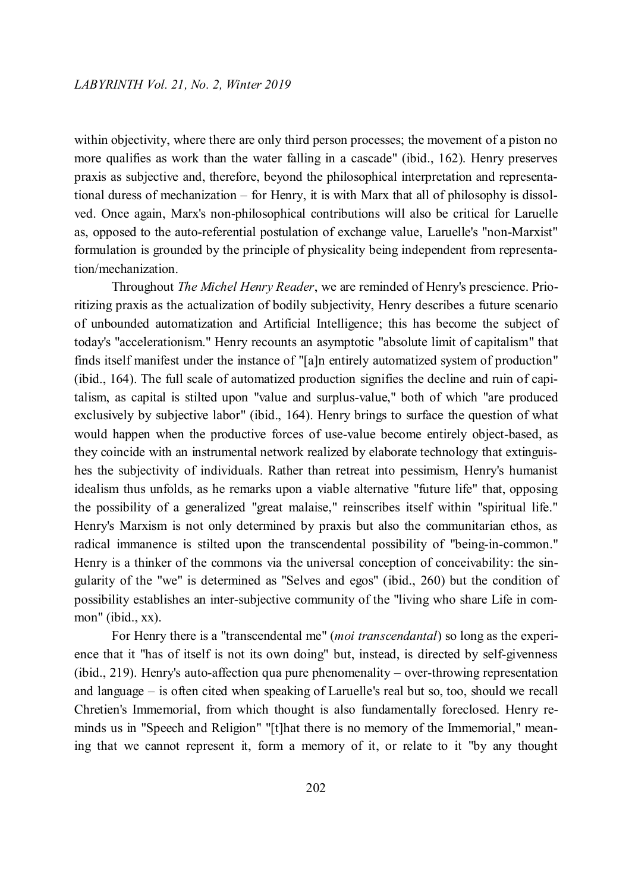within objectivity, where there are only third person processes; the movement of a piston no more qualifies as work than the water falling in a cascade" (ibid., 162). Henry preserves praxis as subjective and, therefore, beyond the philosophical interpretation and representational duress of mechanization – for Henry, it is with Marx that all of philosophy is dissolved. Once again, Marx's non-philosophical contributions will also be critical for Laruelle as, opposed to the auto-referential postulation of exchange value, Laruelle's "non-Marxist" formulation is grounded by the principle of physicality being independent from representation/mechanization.

Throughout *The Michel Henry Reader*, we are reminded of Henry's prescience. Prioritizing praxis as the actualization of bodily subjectivity, Henry describes a future scenario of unbounded automatization and Artificial Intelligence; this has become the subject of today's "accelerationism." Henry recounts an asymptotic "absolute limit of capitalism" that finds itself manifest under the instance of "[a]n entirely automatized system of production" (ibid., 164). The full scale of automatized production signifies the decline and ruin of capitalism, as capital is stilted upon "value and surplus-value," both of which "are produced exclusively by subjective labor" (ibid., 164). Henry brings to surface the question of what would happen when the productive forces of use-value become entirely object-based, as they coincide with an instrumental network realized by elaborate technology that extinguishes the subjectivity of individuals. Rather than retreat into pessimism, Henry's humanist idealism thus unfolds, as he remarks upon a viable alternative "future life" that, opposing the possibility of a generalized "great malaise," reinscribes itself within "spiritual life." Henry's Marxism is not only determined by praxis but also the communitarian ethos, as radical immanence is stilted upon the transcendental possibility of "being-in-common." Henry is a thinker of the commons via the universal conception of conceivability: the singularity of the "we" is determined as "Selves and egos" (ibid., 260) but the condition of possibility establishes an inter-subjective community of the "living who share Life in common" (ibid., xx).

For Henry there is a "transcendental me" (*moi transcendantal*) so long as the experience that it "has of itself is not its own doing" but, instead, is directed by self-givenness (ibid., 219). Henry's auto-affection qua pure phenomenality – over-throwing representation and language – is often cited when speaking of Laruelle's real but so, too, should we recall Chretien's Immemorial, from which thought is also fundamentally foreclosed. Henry reminds us in "Speech and Religion" "[t]hat there is no memory of the Immemorial," meaning that we cannot represent it, form a memory of it, or relate to it "by any thought